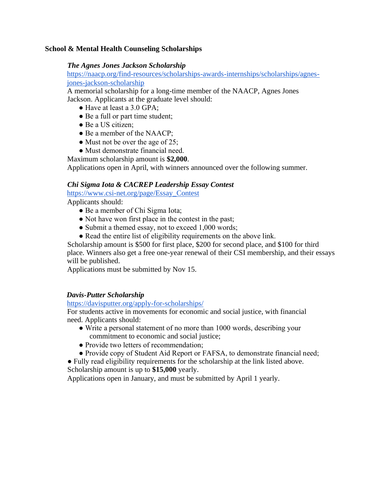### **School & Mental Health Counseling Scholarships**

### *The Agnes Jones Jackson Scholarship*

https://naacp.org/find-resources/scholarships-awards-internships/scholarships/agnesjones-jackson-scholarship

A memorial scholarship for a long-time member of the NAACP, Agnes Jones Jackson. Applicants at the graduate level should:

- Have at least a 3.0 GPA:
- Be a full or part time student;
- Be a US citizen;
- Be a member of the NAACP;
- Must not be over the age of 25;
- Must demonstrate financial need.

Maximum scholarship amount is **\$2,000**.

Applications open in April, with winners announced over the following summer.

### *Chi Sigma Iota & CACREP Leadership Essay Contest*

https://www.csi-net.org/page/Essay\_Contest

Applicants should:

- Be a member of Chi Sigma Iota;
- Not have won first place in the contest in the past;
- Submit a themed essay, not to exceed 1,000 words;
- Read the entire list of eligibility requirements on the above link.

Scholarship amount is \$500 for first place, \$200 for second place, and \$100 for third place. Winners also get a free one-year renewal of their CSI membership, and their essays will be published.

Applications must be submitted by Nov 15.

### *Davis-Putter Scholarship*

### https://davisputter.org/apply-for-scholarships/

For students active in movements for economic and social justice, with financial need. Applicants should:

- Write a personal statement of no more than 1000 words, describing your commitment to economic and social justice;
- Provide two letters of recommendation;
- Provide copy of Student Aid Report or FAFSA, to demonstrate financial need;

● Fully read eligibility requirements for the scholarship at the link listed above. Scholarship amount is up to **\$15,000** yearly.

Applications open in January, and must be submitted by April 1 yearly.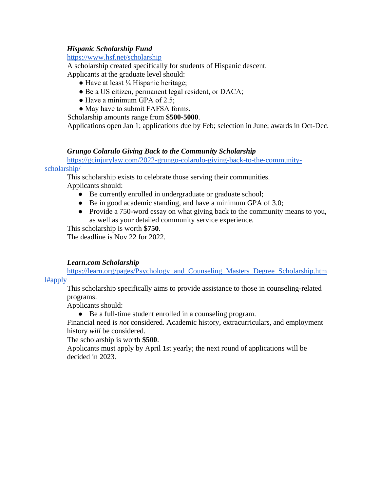# *Hispanic Scholarship Fund*

https://www.hsf.net/scholarship

A scholarship created specifically for students of Hispanic descent. Applicants at the graduate level should:

- $\bullet$  Have at least  $\frac{1}{4}$  Hispanic heritage;
- Be a US citizen, permanent legal resident, or DACA;
- Have a minimum GPA of 2.5;
- May have to submit FAFSA forms.

Scholarship amounts range from **\$500-5000**.

Applications open Jan 1; applications due by Feb; selection in June; awards in Oct-Dec.

### *Grungo Colarulo Giving Back to the Community Scholarship*

[https://gcinjurylaw.com/2022-grungo-colarulo-giving-back-to-the-community-](https://gcinjurylaw.com/2022-grungo-colarulo-giving-back-to-the-community-scholarship/)

### [scholarship/](https://gcinjurylaw.com/2022-grungo-colarulo-giving-back-to-the-community-scholarship/)

This scholarship exists to celebrate those serving their communities. Applicants should:

- Be currently enrolled in undergraduate or graduate school;
- Be in good academic standing, and have a minimum GPA of 3.0;
- Provide a 750-word essay on what giving back to the community means to you, as well as your detailed community service experience.

This scholarship is worth **\$750**.

The deadline is Nov 22 for 2022.

## *Learn.com Scholarship*

[https://learn.org/pages/Psychology\\_and\\_Counseling\\_Masters\\_Degree\\_Scholarship.htm](https://learn.org/pages/Psychology_and_Counseling_Masters_Degree_Scholarship.html#apply)

[l#apply](https://learn.org/pages/Psychology_and_Counseling_Masters_Degree_Scholarship.html#apply)

This scholarship specifically aims to provide assistance to those in counseling-related programs.

Applicants should:

● Be a full-time student enrolled in a counseling program.

Financial need is *not* considered. Academic history, extracurriculars, and employment history *will* be considered.

The scholarship is worth **\$500**.

Applicants must apply by April 1st yearly; the next round of applications will be decided in 2023.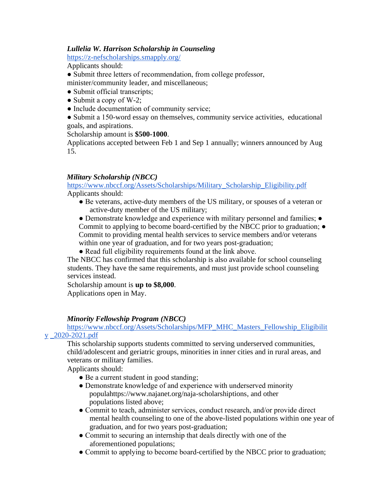### *Lullelia W. Harrison Scholarship in Counseling*

<https://z-nefscholarships.smapply.org/>

Applicants should:

● Submit three letters of recommendation, from college professor,

minister/community leader, and miscellaneous;

- Submit official transcripts;
- $\bullet$  Submit a copy of W-2;
- Include documentation of community service;

● Submit a 150-word essay on themselves, community service activities, educational goals, and aspirations.

## Scholarship amount is **\$500-1000**.

Applications accepted between Feb 1 and Sep 1 annually; winners announced by Aug 15.

## *Military Scholarship (NBCC)*

https://www.nbccf.org/Assets/Scholarships/Military\_Scholarship\_Eligibility.pdf Applicants should:

● Be veterans, active-duty members of the US military, or spouses of a veteran or active-duty member of the US military;

• Demonstrate knowledge and experience with military personnel and families; • Commit to applying to become board-certified by the NBCC prior to graduation; ● Commit to providing mental health services to service members and/or veterans within one year of graduation, and for two years post-graduation;

• Read full eligibility requirements found at the link above.

The NBCC has confirmed that this scholarship is also available for school counseling students. They have the same requirements, and must just provide school counseling services instead.

Scholarship amount is **up to \$8,000**.

Applications open in May.

## *Minority Fellowship Program (NBCC)*

## https://www.nbccf.org/Assets/Scholarships/MFP\_MHC\_Masters\_Fellowship\_Eligibilit y \_2020-2021.pdf

This scholarship supports students committed to serving underserved communities, child/adolescent and geriatric groups, minorities in inner cities and in rural areas, and veterans or military families.

Applicants should:

- Be a current student in good standing;
- Demonstrate knowledge of and experience with underserved minority populahttps://www.najanet.org/naja-scholarshiptions, and other populations listed above;
- Commit to teach, administer services, conduct research, and/or provide direct mental health counseling to one of the above-listed populations within one year of graduation, and for two years post-graduation;
- Commit to securing an internship that deals directly with one of the aforementioned populations;
- Commit to applying to become board-certified by the NBCC prior to graduation;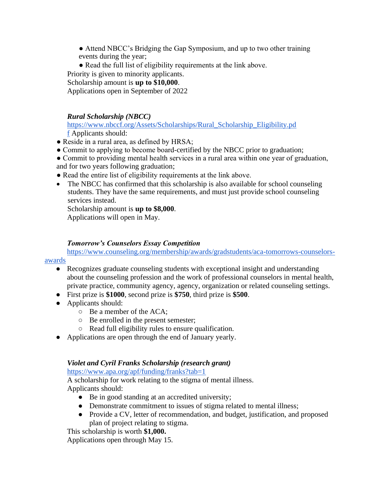- Attend NBCC's Bridging the Gap Symposium, and up to two other training events during the year;
- Read the full list of eligibility requirements at the link above.

Priority is given to minority applicants.

Scholarship amount is **up to \$10,000**.

Applications open in September of 2022

# *Rural Scholarship (NBCC)*

https://www.nbccf.org/Assets/Scholarships/Rural\_Scholarship\_Eligibility.pd f Applicants should:

- Reside in a rural area, as defined by HRSA;
- Commit to applying to become board-certified by the NBCC prior to graduation;

● Commit to providing mental health services in a rural area within one year of graduation, and for two years following graduation;

- Read the entire list of eligibility requirements at the link above.
- The NBCC has confirmed that this scholarship is also available for school counseling students. They have the same requirements, and must just provide school counseling services instead.

Scholarship amount is **up to \$8,000**.

Applications will open in May.

# *Tomorrow's Counselors Essay Competition*

[https://www.counseling.org/membership/awards/gradstudents/aca-tomorrows-counselors-](https://www.counseling.org/membership/awards/gradstudents/aca-tomorrows-counselors-awards)

[awards](https://www.counseling.org/membership/awards/gradstudents/aca-tomorrows-counselors-awards)

- Recognizes graduate counseling students with exceptional insight and understanding about the counseling profession and the work of professional counselors in mental health, private practice, community agency, agency, organization or related counseling settings.
- First prize is **\$1000**, second prize is **\$750**, third prize is **\$500**.
- Applicants should:
	- Be a member of the ACA;
	- Be enrolled in the present semester;
	- Read full eligibility rules to ensure qualification.
- Applications are open through the end of January yearly.

# *Violet and Cyril Franks Scholarship (research grant)*

<https://www.apa.org/apf/funding/franks?tab=1>

A scholarship for work relating to the stigma of mental illness. Applicants should:

- Be in good standing at an accredited university;
- Demonstrate commitment to issues of stigma related to mental illness;
- Provide a CV, letter of recommendation, and budget, justification, and proposed plan of project relating to stigma.

This scholarship is worth **\$1,000.**

Applications open through May 15.